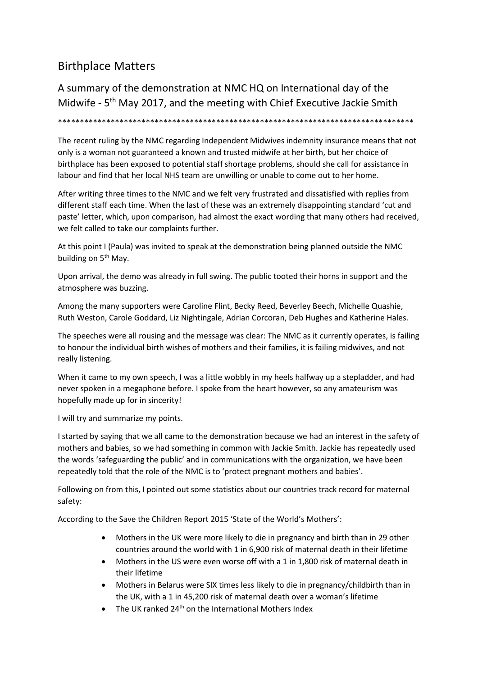## Birthplace Matters

A summary of the demonstration at NMC HQ on International day of the Midwife - 5<sup>th</sup> May 2017, and the meeting with Chief Executive Jackie Smith

\*\*\*\*\*\*\*\*\*\*\*\*\*\*\*\*\*\*\*\*\*\*\*\*\*\*\*\*\*\*\*\*\*\*\*\*\*\*\*\*\*\*\*\*\*\*\*\*\*\*\*\*\*\*\*\*\*\*\*\*\*\*\*\*\*\*\*\*\*\*\*\*\*\*\*\*\*\*\*\*\*

The recent ruling by the NMC regarding Independent Midwives indemnity insurance means that not only is a woman not guaranteed a known and trusted midwife at her birth, but her choice of birthplace has been exposed to potential staff shortage problems, should she call for assistance in labour and find that her local NHS team are unwilling or unable to come out to her home.

After writing three times to the NMC and we felt very frustrated and dissatisfied with replies from different staff each time. When the last of these was an extremely disappointing standard 'cut and paste' letter, which, upon comparison, had almost the exact wording that many others had received, we felt called to take our complaints further.

At this point I (Paula) was invited to speak at the demonstration being planned outside the NMC building on 5<sup>th</sup> May.

Upon arrival, the demo was already in full swing. The public tooted their horns in support and the atmosphere was buzzing.

Among the many supporters were Caroline Flint, Becky Reed, Beverley Beech, Michelle Quashie, Ruth Weston, Carole Goddard, Liz Nightingale, Adrian Corcoran, Deb Hughes and Katherine Hales.

The speeches were all rousing and the message was clear: The NMC as it currently operates, is failing to honour the individual birth wishes of mothers and their families, it is failing midwives, and not really listening.

When it came to my own speech, I was a little wobbly in my heels halfway up a stepladder, and had never spoken in a megaphone before. I spoke from the heart however, so any amateurism was hopefully made up for in sincerity!

I will try and summarize my points.

I started by saying that we all came to the demonstration because we had an interest in the safety of mothers and babies, so we had something in common with Jackie Smith. Jackie has repeatedly used the words 'safeguarding the public' and in communications with the organization, we have been repeatedly told that the role of the NMC is to 'protect pregnant mothers and babies'.

Following on from this, I pointed out some statistics about our countries track record for maternal safety:

According to the Save the Children Report 2015 'State of the World's Mothers':

- Mothers in the UK were more likely to die in pregnancy and birth than in 29 other countries around the world with 1 in 6,900 risk of maternal death in their lifetime
- Mothers in the US were even worse off with a 1 in 1,800 risk of maternal death in their lifetime
- Mothers in Belarus were SIX times less likely to die in pregnancy/childbirth than in the UK, with a 1 in 45,200 risk of maternal death over a woman's lifetime
- The UK ranked 24<sup>th</sup> on the International Mothers Index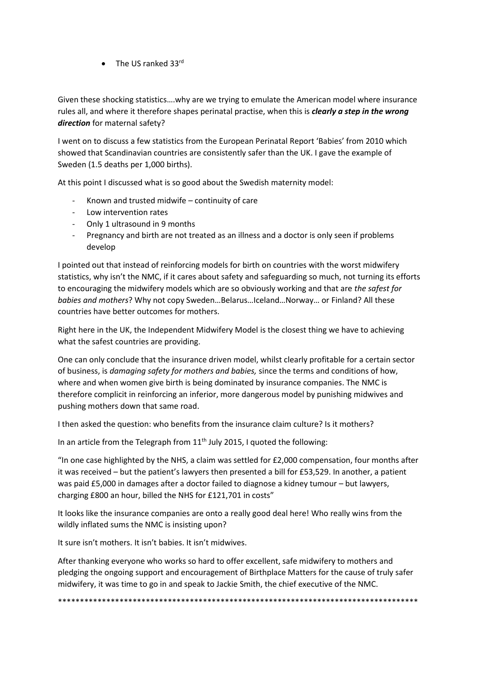$\bullet$  The US ranked 33 $^{\text{rd}}$ 

Given these shocking statistics….why are we trying to emulate the American model where insurance rules all, and where it therefore shapes perinatal practise, when this is *clearly a step in the wrong direction* for maternal safety?

I went on to discuss a few statistics from the European Perinatal Report 'Babies' from 2010 which showed that Scandinavian countries are consistently safer than the UK. I gave the example of Sweden (1.5 deaths per 1,000 births).

At this point I discussed what is so good about the Swedish maternity model:

- Known and trusted midwife  $-$  continuity of care
- Low intervention rates
- Only 1 ultrasound in 9 months
- Pregnancy and birth are not treated as an illness and a doctor is only seen if problems develop

I pointed out that instead of reinforcing models for birth on countries with the worst midwifery statistics, why isn't the NMC, if it cares about safety and safeguarding so much, not turning its efforts to encouraging the midwifery models which are so obviously working and that are *the safest for babies and mothers*? Why not copy Sweden…Belarus…Iceland…Norway… or Finland? All these countries have better outcomes for mothers.

Right here in the UK, the Independent Midwifery Model is the closest thing we have to achieving what the safest countries are providing.

One can only conclude that the insurance driven model, whilst clearly profitable for a certain sector of business, is *damaging safety for mothers and babies,* since the terms and conditions of how, where and when women give birth is being dominated by insurance companies. The NMC is therefore complicit in reinforcing an inferior, more dangerous model by punishing midwives and pushing mothers down that same road.

I then asked the question: who benefits from the insurance claim culture? Is it mothers?

In an article from the Telegraph from  $11<sup>th</sup>$  July 2015, I quoted the following:

"In one case highlighted by the NHS, a claim was settled for  $£2,000$  compensation, four months after it was received – but the patient's lawyers then presented a bill for £53,529. In another, a patient was paid £5,000 in damages after a doctor failed to diagnose a kidney tumour – but lawyers, charging £800 an hour, billed the NHS for £121,701 in costs"

It looks like the insurance companies are onto a really good deal here! Who really wins from the wildly inflated sums the NMC is insisting upon?

It sure isn't mothers. It isn't babies. It isn't midwives.

After thanking everyone who works so hard to offer excellent, safe midwifery to mothers and pledging the ongoing support and encouragement of Birthplace Matters for the cause of truly safer midwifery, it was time to go in and speak to Jackie Smith, the chief executive of the NMC.

\*\*\*\*\*\*\*\*\*\*\*\*\*\*\*\*\*\*\*\*\*\*\*\*\*\*\*\*\*\*\*\*\*\*\*\*\*\*\*\*\*\*\*\*\*\*\*\*\*\*\*\*\*\*\*\*\*\*\*\*\*\*\*\*\*\*\*\*\*\*\*\*\*\*\*\*\*\*\*\*\*\*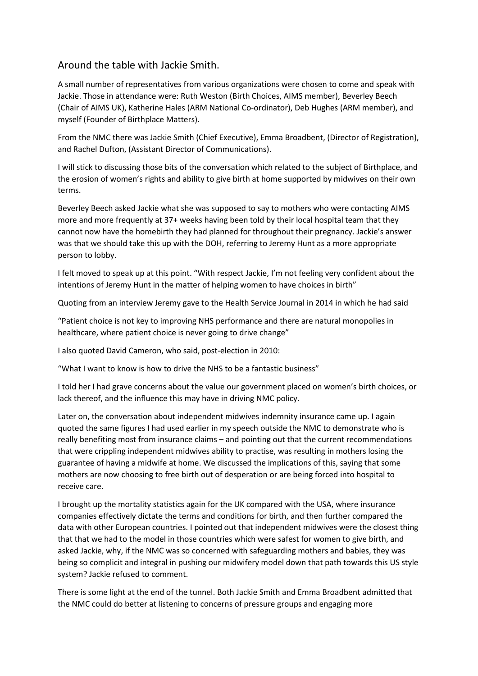## Around the table with Jackie Smith.

A small number of representatives from various organizations were chosen to come and speak with Jackie. Those in attendance were: Ruth Weston (Birth Choices, AIMS member), Beverley Beech (Chair of AIMS UK), Katherine Hales (ARM National Co-ordinator), Deb Hughes (ARM member), and myself (Founder of Birthplace Matters).

From the NMC there was Jackie Smith (Chief Executive), Emma Broadbent, (Director of Registration), and Rachel Dufton, (Assistant Director of Communications).

I will stick to discussing those bits of the conversation which related to the subject of Birthplace, and the erosion of women's rights and ability to give birth at home supported by midwives on their own terms.

Beverley Beech asked Jackie what she was supposed to say to mothers who were contacting AIMS more and more frequently at 37+ weeks having been told by their local hospital team that they cannot now have the homebirth they had planned for throughout their pregnancy. Jackie's answer was that we should take this up with the DOH, referring to Jeremy Hunt as a more appropriate person to lobby.

I felt moved to speak up at this point. "With respect Jackie, I'm not feeling very confident about the intentions of Jeremy Hunt in the matter of helping women to have choices in birth"

Quoting from an interview Jeremy gave to the Health Service Journal in 2014 in which he had said

"Patient choice is not key to improving NHS performance and there are natural monopolies in healthcare, where patient choice is never going to drive change"

I also quoted David Cameron, who said, post-election in 2010:

"What I want to know is how to drive the NHS to be a fantastic business"

I told her I had grave concerns about the value our government placed on women's birth choices, or lack thereof, and the influence this may have in driving NMC policy.

Later on, the conversation about independent midwives indemnity insurance came up. I again quoted the same figures I had used earlier in my speech outside the NMC to demonstrate who is really benefiting most from insurance claims – and pointing out that the current recommendations that were crippling independent midwives ability to practise, was resulting in mothers losing the guarantee of having a midwife at home. We discussed the implications of this, saying that some mothers are now choosing to free birth out of desperation or are being forced into hospital to receive care.

I brought up the mortality statistics again for the UK compared with the USA, where insurance companies effectively dictate the terms and conditions for birth, and then further compared the data with other European countries. I pointed out that independent midwives were the closest thing that that we had to the model in those countries which were safest for women to give birth, and asked Jackie, why, if the NMC was so concerned with safeguarding mothers and babies, they was being so complicit and integral in pushing our midwifery model down that path towards this US style system? Jackie refused to comment.

There is some light at the end of the tunnel. Both Jackie Smith and Emma Broadbent admitted that the NMC could do better at listening to concerns of pressure groups and engaging more